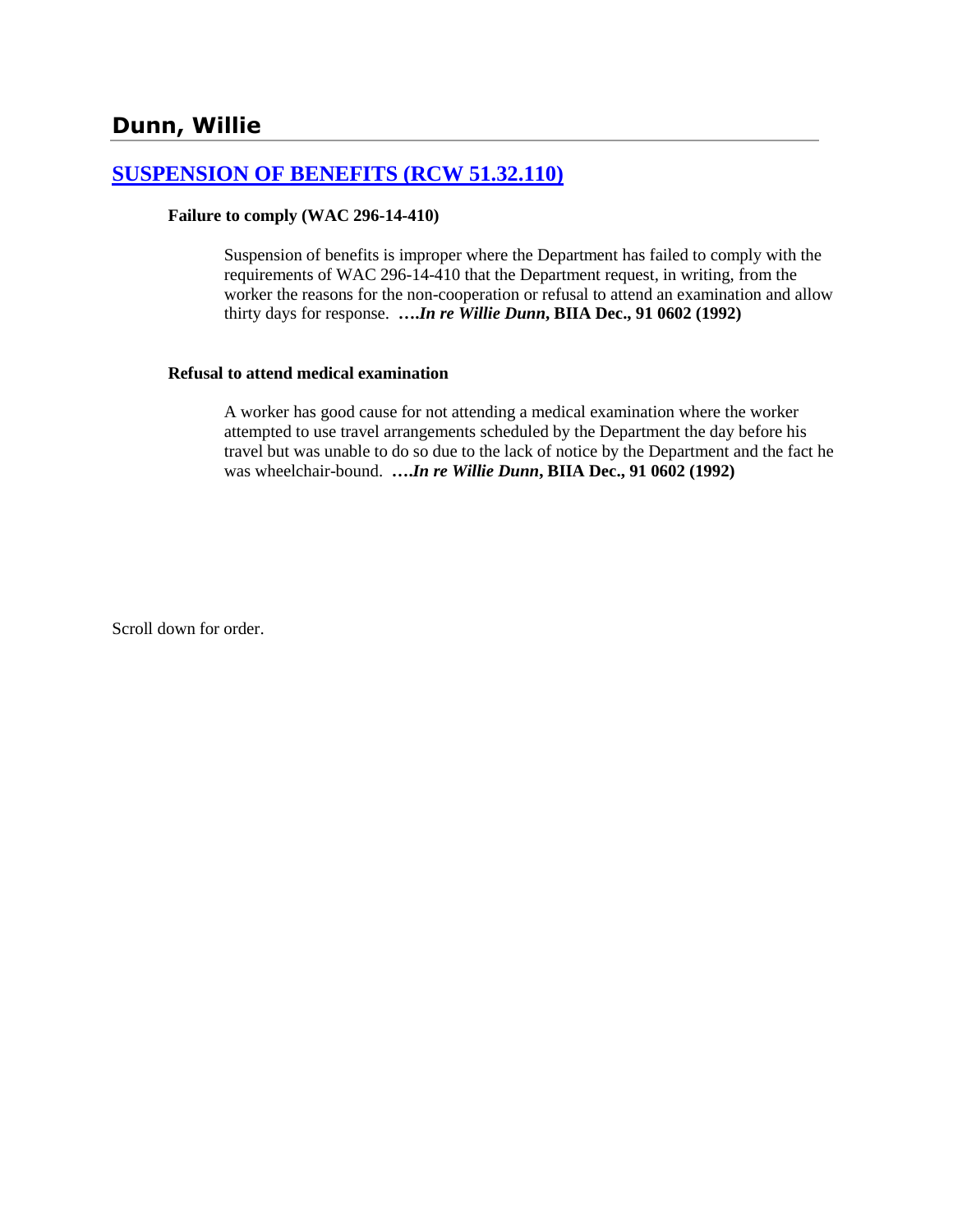# **[SUSPENSION OF BENEFITS \(RCW 51.32.110\)](http://www.biia.wa.gov/SDSubjectIndex.html#SUSPENSION_OF_BENEFITS)**

#### **Failure to comply (WAC 296-14-410)**

Suspension of benefits is improper where the Department has failed to comply with the requirements of WAC 296-14-410 that the Department request, in writing, from the worker the reasons for the non-cooperation or refusal to attend an examination and allow thirty days for response. **….***In re Willie Dunn***, BIIA Dec., 91 0602 (1992)** 

#### **Refusal to attend medical examination**

A worker has good cause for not attending a medical examination where the worker attempted to use travel arrangements scheduled by the Department the day before his travel but was unable to do so due to the lack of notice by the Department and the fact he was wheelchair-bound. **….***In re Willie Dunn***, BIIA Dec., 91 0602 (1992)** 

Scroll down for order.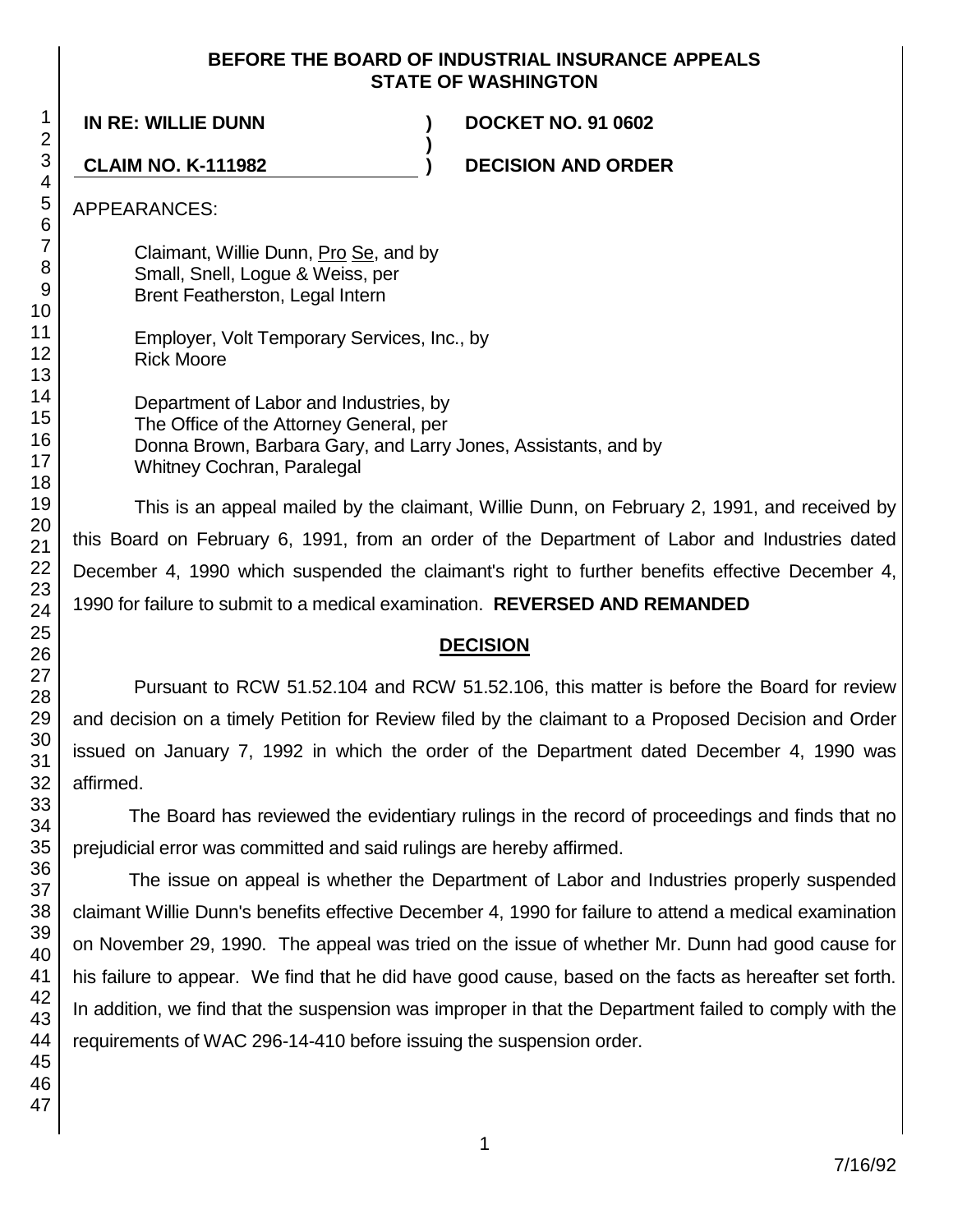# **BEFORE THE BOARD OF INDUSTRIAL INSURANCE APPEALS STATE OF WASHINGTON**

**)**

**IN RE: WILLIE DUNN ) DOCKET NO. 91 0602**

**CLAIM NO. K-111982 ) DECISION AND ORDER**

APPEARANCES:

Claimant, Willie Dunn, Pro Se, and by Small, Snell, Logue & Weiss, per Brent Featherston, Legal Intern

Employer, Volt Temporary Services, Inc., by Rick Moore

Department of Labor and Industries, by The Office of the Attorney General, per Donna Brown, Barbara Gary, and Larry Jones, Assistants, and by Whitney Cochran, Paralegal

This is an appeal mailed by the claimant, Willie Dunn, on February 2, 1991, and received by this Board on February 6, 1991, from an order of the Department of Labor and Industries dated December 4, 1990 which suspended the claimant's right to further benefits effective December 4, 1990 for failure to submit to a medical examination. **REVERSED AND REMANDED**

# **DECISION**

Pursuant to RCW 51.52.104 and RCW 51.52.106, this matter is before the Board for review and decision on a timely Petition for Review filed by the claimant to a Proposed Decision and Order issued on January 7, 1992 in which the order of the Department dated December 4, 1990 was affirmed.

The Board has reviewed the evidentiary rulings in the record of proceedings and finds that no prejudicial error was committed and said rulings are hereby affirmed.

The issue on appeal is whether the Department of Labor and Industries properly suspended claimant Willie Dunn's benefits effective December 4, 1990 for failure to attend a medical examination on November 29, 1990. The appeal was tried on the issue of whether Mr. Dunn had good cause for his failure to appear. We find that he did have good cause, based on the facts as hereafter set forth. In addition, we find that the suspension was improper in that the Department failed to comply with the requirements of WAC 296-14-410 before issuing the suspension order.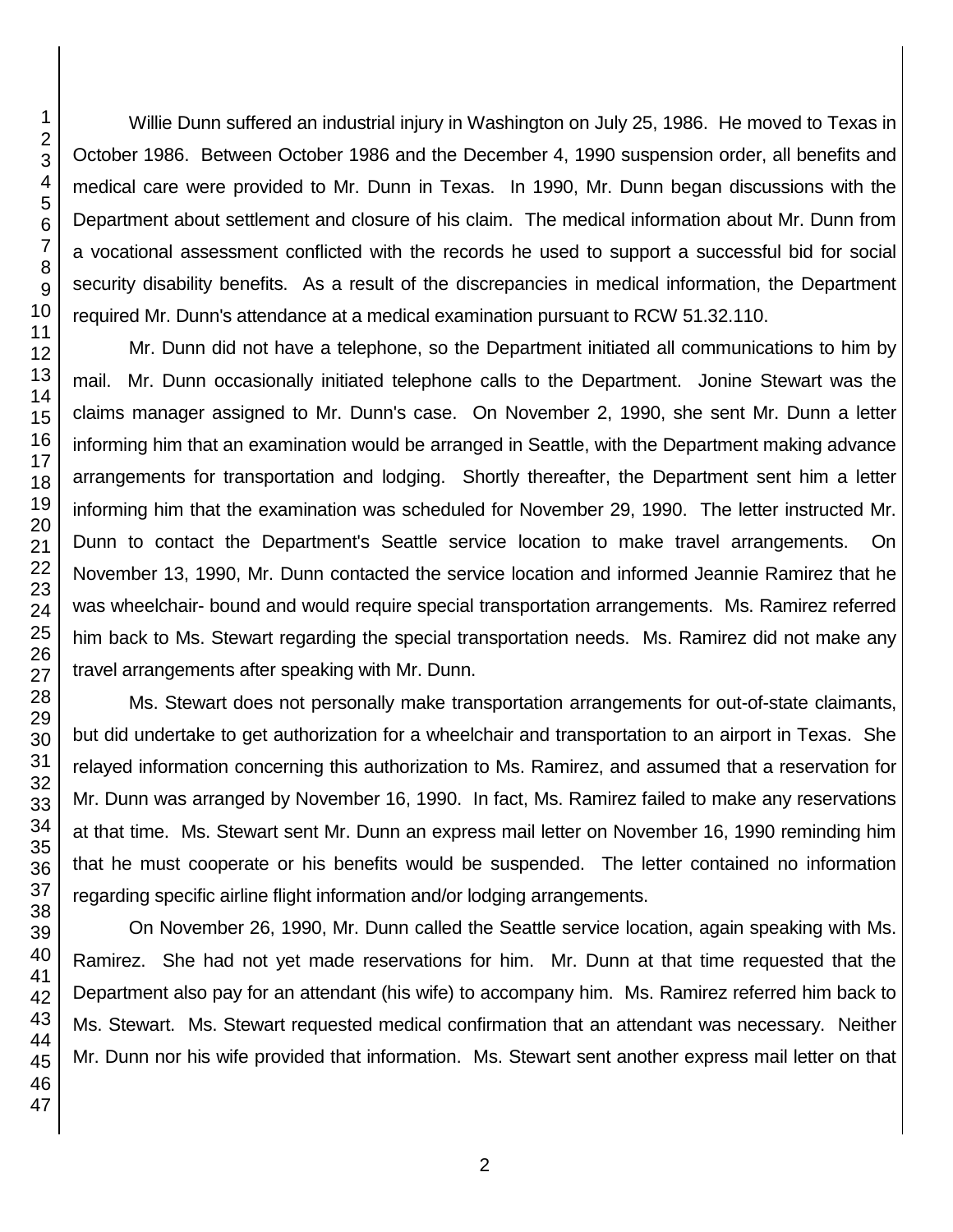Willie Dunn suffered an industrial injury in Washington on July 25, 1986. He moved to Texas in October 1986. Between October 1986 and the December 4, 1990 suspension order, all benefits and medical care were provided to Mr. Dunn in Texas. In 1990, Mr. Dunn began discussions with the Department about settlement and closure of his claim. The medical information about Mr. Dunn from a vocational assessment conflicted with the records he used to support a successful bid for social security disability benefits. As a result of the discrepancies in medical information, the Department required Mr. Dunn's attendance at a medical examination pursuant to RCW 51.32.110.

Mr. Dunn did not have a telephone, so the Department initiated all communications to him by mail. Mr. Dunn occasionally initiated telephone calls to the Department. Jonine Stewart was the claims manager assigned to Mr. Dunn's case. On November 2, 1990, she sent Mr. Dunn a letter informing him that an examination would be arranged in Seattle, with the Department making advance arrangements for transportation and lodging. Shortly thereafter, the Department sent him a letter informing him that the examination was scheduled for November 29, 1990. The letter instructed Mr. Dunn to contact the Department's Seattle service location to make travel arrangements. On November 13, 1990, Mr. Dunn contacted the service location and informed Jeannie Ramirez that he was wheelchair- bound and would require special transportation arrangements. Ms. Ramirez referred him back to Ms. Stewart regarding the special transportation needs. Ms. Ramirez did not make any travel arrangements after speaking with Mr. Dunn.

Ms. Stewart does not personally make transportation arrangements for out-of-state claimants, but did undertake to get authorization for a wheelchair and transportation to an airport in Texas. She relayed information concerning this authorization to Ms. Ramirez, and assumed that a reservation for Mr. Dunn was arranged by November 16, 1990. In fact, Ms. Ramirez failed to make any reservations at that time. Ms. Stewart sent Mr. Dunn an express mail letter on November 16, 1990 reminding him that he must cooperate or his benefits would be suspended. The letter contained no information regarding specific airline flight information and/or lodging arrangements.

On November 26, 1990, Mr. Dunn called the Seattle service location, again speaking with Ms. Ramirez. She had not yet made reservations for him. Mr. Dunn at that time requested that the Department also pay for an attendant (his wife) to accompany him. Ms. Ramirez referred him back to Ms. Stewart. Ms. Stewart requested medical confirmation that an attendant was necessary. Neither Mr. Dunn nor his wife provided that information. Ms. Stewart sent another express mail letter on that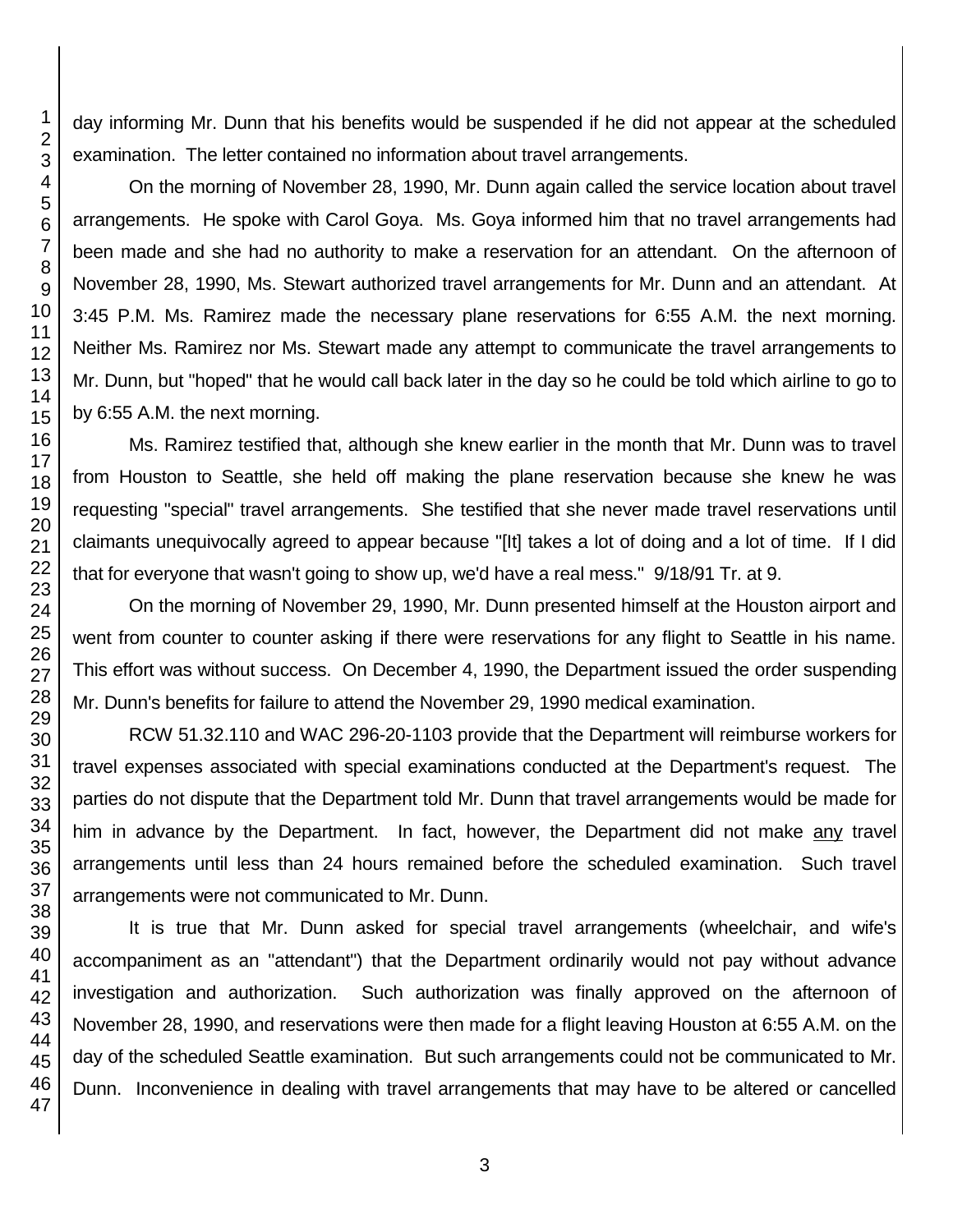day informing Mr. Dunn that his benefits would be suspended if he did not appear at the scheduled examination. The letter contained no information about travel arrangements.

On the morning of November 28, 1990, Mr. Dunn again called the service location about travel arrangements. He spoke with Carol Goya. Ms. Goya informed him that no travel arrangements had been made and she had no authority to make a reservation for an attendant. On the afternoon of November 28, 1990, Ms. Stewart authorized travel arrangements for Mr. Dunn and an attendant. At 3:45 P.M. Ms. Ramirez made the necessary plane reservations for 6:55 A.M. the next morning. Neither Ms. Ramirez nor Ms. Stewart made any attempt to communicate the travel arrangements to Mr. Dunn, but "hoped" that he would call back later in the day so he could be told which airline to go to by 6:55 A.M. the next morning.

Ms. Ramirez testified that, although she knew earlier in the month that Mr. Dunn was to travel from Houston to Seattle, she held off making the plane reservation because she knew he was requesting "special" travel arrangements. She testified that she never made travel reservations until claimants unequivocally agreed to appear because "[It] takes a lot of doing and a lot of time. If I did that for everyone that wasn't going to show up, we'd have a real mess." 9/18/91 Tr. at 9.

On the morning of November 29, 1990, Mr. Dunn presented himself at the Houston airport and went from counter to counter asking if there were reservations for any flight to Seattle in his name. This effort was without success. On December 4, 1990, the Department issued the order suspending Mr. Dunn's benefits for failure to attend the November 29, 1990 medical examination.

RCW 51.32.110 and WAC 296-20-1103 provide that the Department will reimburse workers for travel expenses associated with special examinations conducted at the Department's request. The parties do not dispute that the Department told Mr. Dunn that travel arrangements would be made for him in advance by the Department. In fact, however, the Department did not make any travel arrangements until less than 24 hours remained before the scheduled examination. Such travel arrangements were not communicated to Mr. Dunn.

It is true that Mr. Dunn asked for special travel arrangements (wheelchair, and wife's accompaniment as an "attendant") that the Department ordinarily would not pay without advance investigation and authorization. Such authorization was finally approved on the afternoon of November 28, 1990, and reservations were then made for a flight leaving Houston at 6:55 A.M. on the day of the scheduled Seattle examination. But such arrangements could not be communicated to Mr. Dunn. Inconvenience in dealing with travel arrangements that may have to be altered or cancelled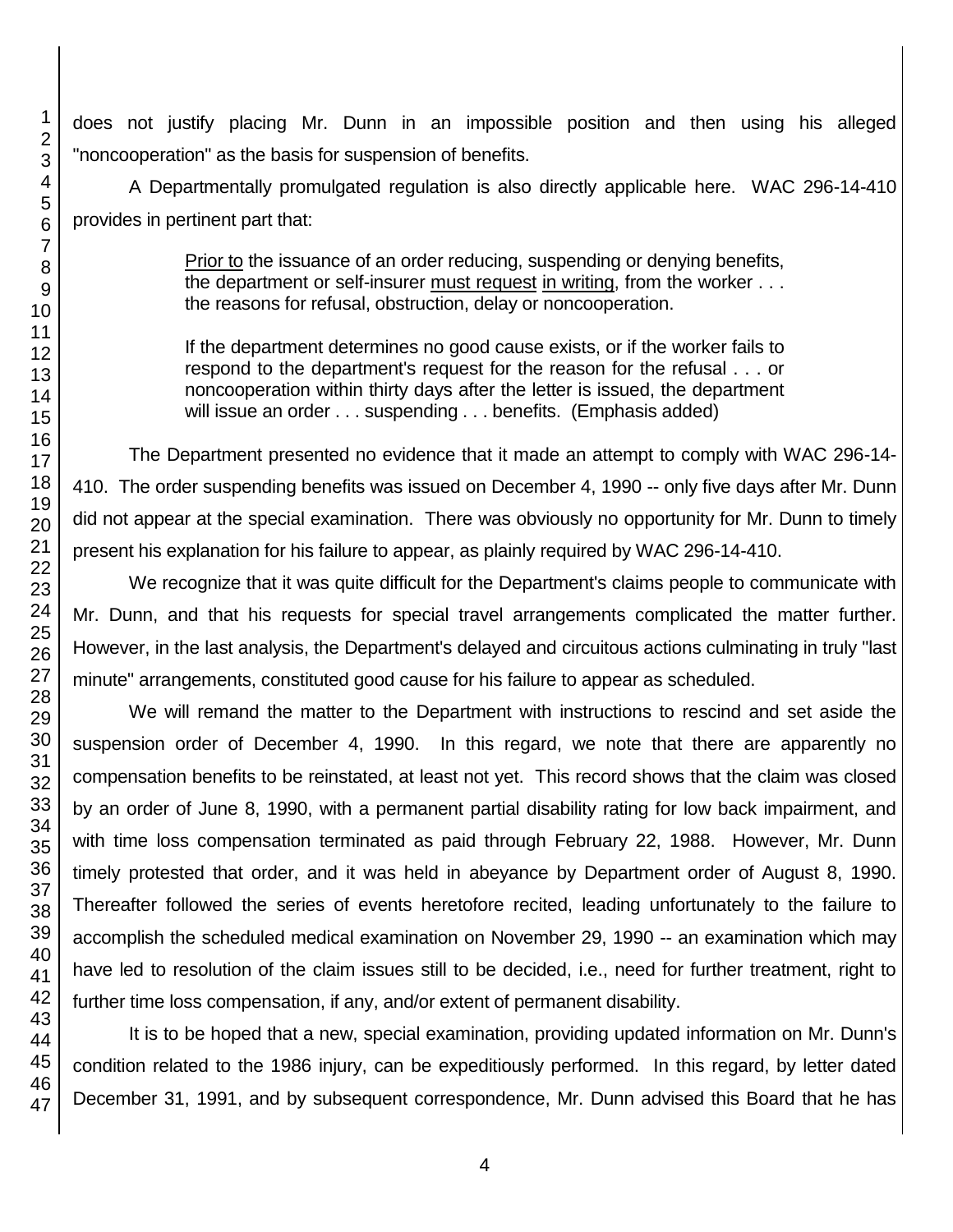does not justify placing Mr. Dunn in an impossible position and then using his alleged "noncooperation" as the basis for suspension of benefits.

A Departmentally promulgated regulation is also directly applicable here. WAC 296-14-410 provides in pertinent part that:

> Prior to the issuance of an order reducing, suspending or denying benefits, the department or self-insurer must request in writing, from the worker . . . the reasons for refusal, obstruction, delay or noncooperation.

> If the department determines no good cause exists, or if the worker fails to respond to the department's request for the reason for the refusal . . . or noncooperation within thirty days after the letter is issued, the department will issue an order . . . suspending . . . benefits. (Emphasis added)

The Department presented no evidence that it made an attempt to comply with WAC 296-14- 410. The order suspending benefits was issued on December 4, 1990 -- only five days after Mr. Dunn did not appear at the special examination. There was obviously no opportunity for Mr. Dunn to timely present his explanation for his failure to appear, as plainly required by WAC 296-14-410.

We recognize that it was quite difficult for the Department's claims people to communicate with Mr. Dunn, and that his requests for special travel arrangements complicated the matter further. However, in the last analysis, the Department's delayed and circuitous actions culminating in truly "last minute" arrangements, constituted good cause for his failure to appear as scheduled.

We will remand the matter to the Department with instructions to rescind and set aside the suspension order of December 4, 1990. In this regard, we note that there are apparently no compensation benefits to be reinstated, at least not yet. This record shows that the claim was closed by an order of June 8, 1990, with a permanent partial disability rating for low back impairment, and with time loss compensation terminated as paid through February 22, 1988. However, Mr. Dunn timely protested that order, and it was held in abeyance by Department order of August 8, 1990. Thereafter followed the series of events heretofore recited, leading unfortunately to the failure to accomplish the scheduled medical examination on November 29, 1990 -- an examination which may have led to resolution of the claim issues still to be decided, i.e., need for further treatment, right to further time loss compensation, if any, and/or extent of permanent disability.

It is to be hoped that a new, special examination, providing updated information on Mr. Dunn's condition related to the 1986 injury, can be expeditiously performed. In this regard, by letter dated December 31, 1991, and by subsequent correspondence, Mr. Dunn advised this Board that he has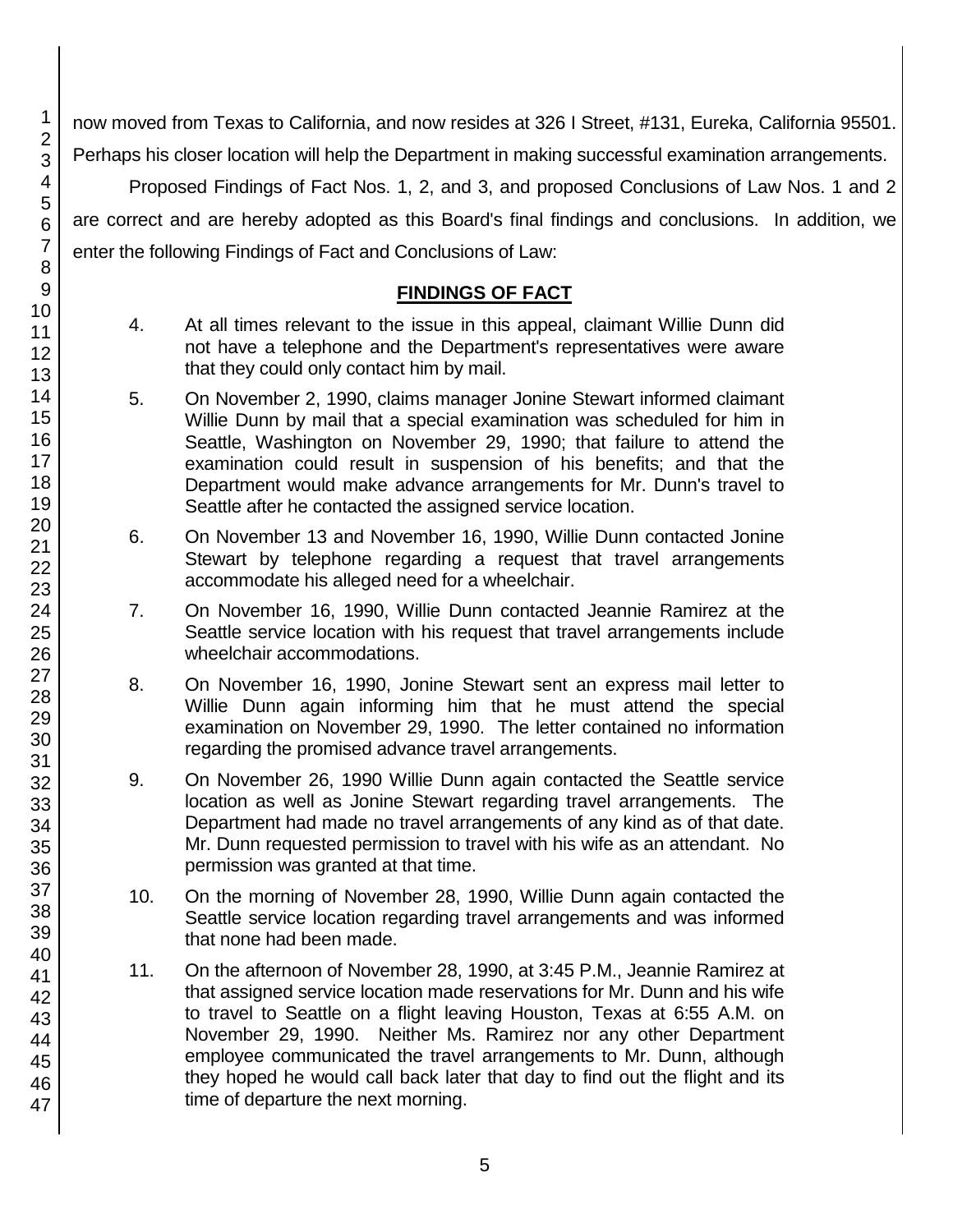now moved from Texas to California, and now resides at 326 I Street, #131, Eureka, California 95501. Perhaps his closer location will help the Department in making successful examination arrangements.

Proposed Findings of Fact Nos. 1, 2, and 3, and proposed Conclusions of Law Nos. 1 and 2 are correct and are hereby adopted as this Board's final findings and conclusions. In addition, we enter the following Findings of Fact and Conclusions of Law:

# **FINDINGS OF FACT**

- 4. At all times relevant to the issue in this appeal, claimant Willie Dunn did not have a telephone and the Department's representatives were aware that they could only contact him by mail.
- 5. On November 2, 1990, claims manager Jonine Stewart informed claimant Willie Dunn by mail that a special examination was scheduled for him in Seattle, Washington on November 29, 1990; that failure to attend the examination could result in suspension of his benefits; and that the Department would make advance arrangements for Mr. Dunn's travel to Seattle after he contacted the assigned service location.
- 6. On November 13 and November 16, 1990, Willie Dunn contacted Jonine Stewart by telephone regarding a request that travel arrangements accommodate his alleged need for a wheelchair.
- 7. On November 16, 1990, Willie Dunn contacted Jeannie Ramirez at the Seattle service location with his request that travel arrangements include wheelchair accommodations.
- 8. On November 16, 1990, Jonine Stewart sent an express mail letter to Willie Dunn again informing him that he must attend the special examination on November 29, 1990. The letter contained no information regarding the promised advance travel arrangements.
- 9. On November 26, 1990 Willie Dunn again contacted the Seattle service location as well as Jonine Stewart regarding travel arrangements. The Department had made no travel arrangements of any kind as of that date. Mr. Dunn requested permission to travel with his wife as an attendant. No permission was granted at that time.
- 10. On the morning of November 28, 1990, Willie Dunn again contacted the Seattle service location regarding travel arrangements and was informed that none had been made.
- 11. On the afternoon of November 28, 1990, at 3:45 P.M., Jeannie Ramirez at that assigned service location made reservations for Mr. Dunn and his wife to travel to Seattle on a flight leaving Houston, Texas at 6:55 A.M. on November 29, 1990. Neither Ms. Ramirez nor any other Department employee communicated the travel arrangements to Mr. Dunn, although they hoped he would call back later that day to find out the flight and its time of departure the next morning.